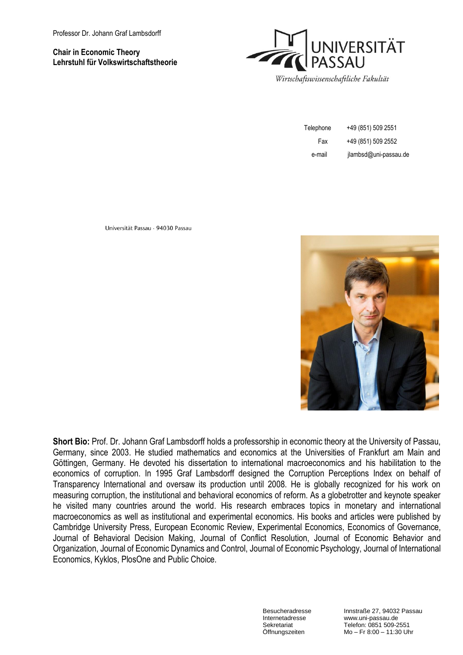#### **Chair in Economic Theory Lehrstuhl für Volkswirtschaftstheorie**



| Telephone | +49 (851) 509 2551    |
|-----------|-----------------------|
| Fax       | +49 (851) 509 2552    |
| e-mail    | jlambsd@uni-passau.de |

Universität Passau · 94030 Passau



**Short Bio:** Prof. Dr. Johann Graf Lambsdorff holds a professorship in economic theory at the University of Passau, Germany, since 2003. He studied mathematics and economics at the Universities of Frankfurt am Main and Göttingen, Germany. He devoted his dissertation to international macroeconomics and his habilitation to the economics of corruption. In 1995 Graf Lambsdorff designed the Corruption Perceptions Index on behalf of Transparency International and oversaw its production until 2008. He is globally recognized for his work on measuring corruption, the institutional and behavioral economics of reform. As a globetrotter and keynote speaker he visited many countries around the world. His research embraces topics in monetary and international macroeconomics as well as institutional and experimental economics. His books and articles were published by Cambridge University Press, European Economic Review, Experimental Economics, Economics of Governance, Journal of Behavioral Decision Making, Journal of Conflict Resolution, Journal of Economic Behavior and Organization, Journal of Economic Dynamics and Control, Journal of Economic Psychology, Journal of International Economics, Kyklos, PlosOne and Public Choice.

Besucheradresse Innstraße 27, 94032 Passau<br>
Internetadresse www.uni-passau.de Internetadresse www.uni-passau.de<br>Sekretariat Telefon: 0851 509-2 Sekretariat Telefon: 0851 509-2551<br>Öffnungszeiten Mo – Fr 8:00 – 11:30 Ur  $Mo - Fr 8:00 - 11:30$  Uhr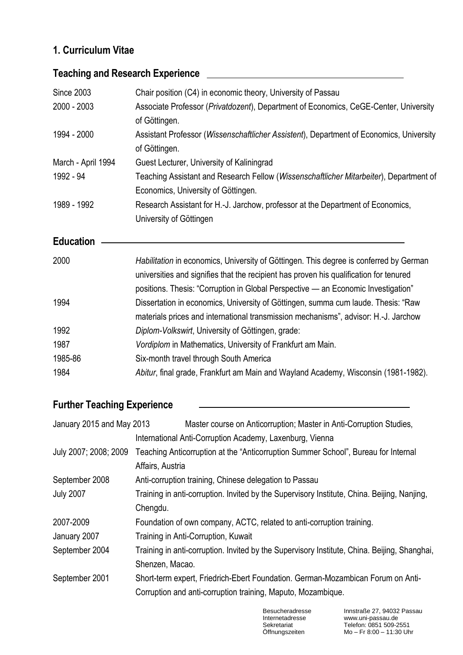### **1. Curriculum Vitae**

# Since 2003 Chair position (C4) in economic theory, University of Passau 2000 - 2003 Associate Professor (*Privatdozent*), Department of Economics, CeGE-Center, University of Göttingen. 1994 - 2000 Assistant Professor (*Wissenschaftlicher Assistent*), Department of Economics, University of Göttingen. March - April 1994 Guest Lecturer, University of Kaliningrad 1992 - 94 Teaching Assistant and Research Fellow (*Wissenschaftlicher Mitarbeiter*), Department of Economics, University of Göttingen. 1989 - 1992 Research Assistant for H.-J. Jarchow, professor at the Department of Economics, University of Göttingen **Education**  2000 *Habilitation* in economics, University of Göttingen. This degree is conferred by German universities and signifies that the recipient has proven his qualification for tenured positions. Thesis: "Corruption in Global Perspective — an Economic Investigation" 1994 Dissertation in economics, University of Göttingen, summa cum laude. Thesis: "Raw materials prices and international transmission mechanisms", advisor: H.-J. Jarchow 1992 *Diplom-Volkswirt*, University of Göttingen, grade: 1987 *Vordiplom* in Mathematics, University of Frankfurt am Main. 1985-86 Six-month travel through South America 1984 *Abitur*, final grade, Frankfurt am Main and Wayland Academy, Wisconsin (1981-1982).

# **Teaching and Research Experience**

## **Further Teaching Experience**

| January 2015 and May 2013 | Master course on Anticorruption; Master in Anti-Corruption Studies,                          |
|---------------------------|----------------------------------------------------------------------------------------------|
|                           | International Anti-Corruption Academy, Laxenburg, Vienna                                     |
| July 2007; 2008; 2009     | Teaching Anticorruption at the "Anticorruption Summer School", Bureau for Internal           |
|                           | Affairs, Austria                                                                             |
| September 2008            | Anti-corruption training, Chinese delegation to Passau                                       |
| <b>July 2007</b>          | Training in anti-corruption. Invited by the Supervisory Institute, China. Beijing, Nanjing,  |
|                           | Chengdu.                                                                                     |
| 2007-2009                 | Foundation of own company, ACTC, related to anti-corruption training.                        |
| January 2007              | Training in Anti-Corruption, Kuwait                                                          |
| September 2004            | Training in anti-corruption. Invited by the Supervisory Institute, China. Beijing, Shanghai, |
|                           | Shenzen, Macao.                                                                              |
| September 2001            | Short-term expert, Friedrich-Ebert Foundation. German-Mozambican Forum on Anti-              |
|                           | Corruption and anti-corruption training, Maputo, Mozambique.                                 |
|                           |                                                                                              |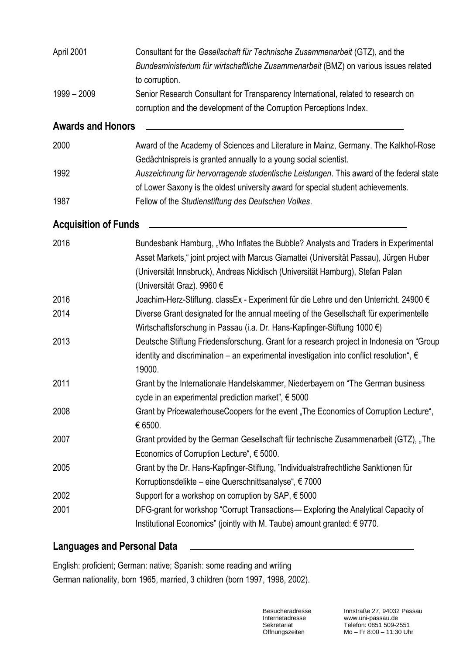| April 2001                  | Consultant for the Gesellschaft für Technische Zusammenarbeit (GTZ), and the<br>Bundesministerium für wirtschaftliche Zusammenarbeit (BMZ) on various issues related<br>to corruption.                                                                                                       |
|-----------------------------|----------------------------------------------------------------------------------------------------------------------------------------------------------------------------------------------------------------------------------------------------------------------------------------------|
| $1999 - 2009$               | Senior Research Consultant for Transparency International, related to research on<br>corruption and the development of the Corruption Perceptions Index.                                                                                                                                     |
| <b>Awards and Honors</b>    |                                                                                                                                                                                                                                                                                              |
| 2000                        | Award of the Academy of Sciences and Literature in Mainz, Germany. The Kalkhof-Rose<br>Gedächtnispreis is granted annually to a young social scientist.                                                                                                                                      |
| 1992                        | Auszeichnung für hervorragende studentische Leistungen. This award of the federal state<br>of Lower Saxony is the oldest university award for special student achievements.                                                                                                                  |
| 1987                        | Fellow of the Studienstiftung des Deutschen Volkes.                                                                                                                                                                                                                                          |
| <b>Acquisition of Funds</b> |                                                                                                                                                                                                                                                                                              |
| 2016                        | Bundesbank Hamburg, "Who Inflates the Bubble? Analysts and Traders in Experimental<br>Asset Markets," joint project with Marcus Giamattei (Universität Passau), Jürgen Huber<br>(Universität Innsbruck), Andreas Nicklisch (Universität Hamburg), Stefan Palan<br>(Universität Graz). 9960 € |
| 2016                        | Joachim-Herz-Stiftung. classEx - Experiment für die Lehre und den Unterricht. 24900 €                                                                                                                                                                                                        |
| 2014                        | Diverse Grant designated for the annual meeting of the Gesellschaft für experimentelle<br>Wirtschaftsforschung in Passau (i.a. Dr. Hans-Kapfinger-Stiftung 1000 $\epsilon$ )                                                                                                                 |
| 2013                        | Deutsche Stiftung Friedensforschung. Grant for a research project in Indonesia on "Group<br>identity and discrimination – an experimental investigation into conflict resolution", $\epsilon$<br>19000.                                                                                      |
| 2011                        | Grant by the Internationale Handelskammer, Niederbayern on "The German business<br>cycle in an experimental prediction market", € 5000                                                                                                                                                       |
| 2008                        | Grant by PricewaterhouseCoopers for the event "The Economics of Corruption Lecture",<br>€ 6500.                                                                                                                                                                                              |
| 2007                        | Grant provided by the German Gesellschaft für technische Zusammenarbeit (GTZ), "The<br>Economics of Corruption Lecture", € 5000.                                                                                                                                                             |
| 2005                        | Grant by the Dr. Hans-Kapfinger-Stiftung, "Individualstrafrechtliche Sanktionen für<br>Korruptionsdelikte – eine Querschnittsanalyse", € 7000                                                                                                                                                |
| 2002                        | Support for a workshop on corruption by SAP, $\epsilon$ 5000                                                                                                                                                                                                                                 |
| 2001                        | DFG-grant for workshop "Corrupt Transactions— Exploring the Analytical Capacity of<br>Institutional Economics" (jointly with M. Taube) amount granted: $\epsilon$ 9770.                                                                                                                      |

## **Languages and Personal Data**

English: proficient; German: native; Spanish: some reading and writing German nationality, born 1965, married, 3 children (born 1997, 1998, 2002).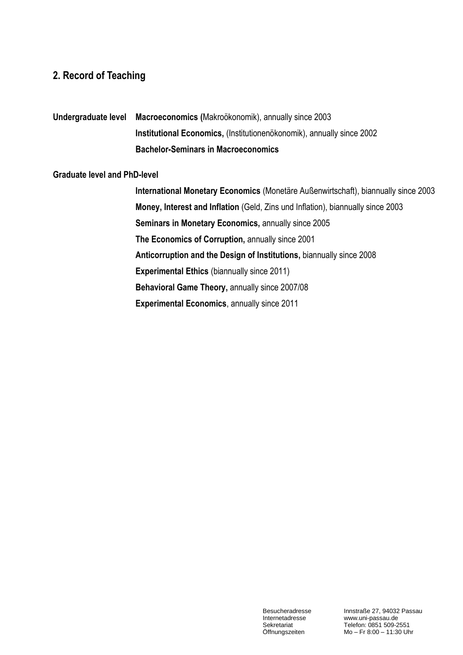#### **2. Record of Teaching**

**Undergraduate level Macroeconomics (**Makroökonomik), annually since 2003 **Institutional Economics,** (Institutionenökonomik), annually since 2002 **Bachelor-Seminars in Macroeconomics** 

#### **Graduate level and PhD-level**

**International Monetary Economics** (Monetäre Außenwirtschaft), biannually since 2003 **Money, Interest and Inflation** (Geld, Zins und Inflation), biannually since 2003 **Seminars in Monetary Economics,** annually since 2005 **The Economics of Corruption,** annually since 2001 **Anticorruption and the Design of Institutions,** biannually since 2008 **Experimental Ethics** (biannually since 2011) **Behavioral Game Theory,** annually since 2007/08 **Experimental Economics**, annually since 2011

Besucheradresse Innstraße 27, 94032 Passau<br>
Internetadresse www.uni-passau.de Internetadresse www.uni-passau.de<br>Sekretariat Telefon: 0851 509-2 Sekretariat Telefon: 0851 509-2551<br>Öffnungszeiten Mo – Fr 8:00 – 11:30 Ur  $Mo - Fr 8:00 - 11:30$  Uhr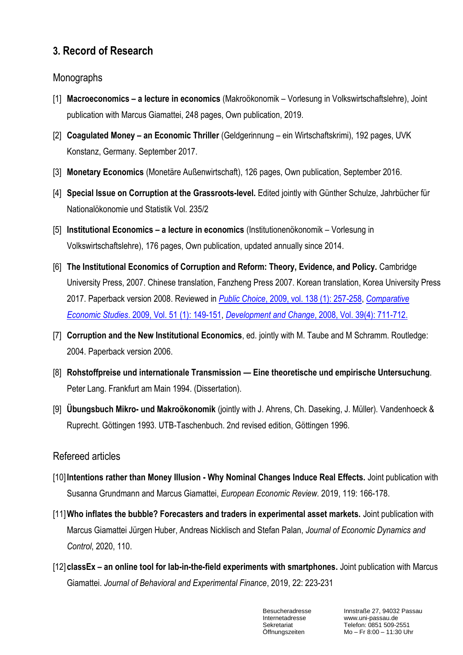## **3. Record of Research**

### Monographs

- [1] **Macroeconomics – a lecture in economics** (Makroökonomik Vorlesung in Volkswirtschaftslehre), Joint publication with Marcus Giamattei, 248 pages, Own publication, 2019.
- [2] **Coagulated Money – an Economic Thriller** (Geldgerinnung ein Wirtschaftskrimi), 192 pages, UVK Konstanz, Germany. September 2017.
- [3] **Monetary Economics** (Monetäre Außenwirtschaft), 126 pages, Own publication, September 2016.
- [4] **Special Issue on Corruption at the Grassroots-level.** Edited jointly with Günther Schulze, Jahrbücher für Nationalökonomie und Statistik Vol. 235/2
- [5] **Institutional Economics – a lecture in economics** (Institutionenökonomik Vorlesung in Volkswirtschaftslehre), 176 pages, Own publication, updated annually since 2014.
- [6] The Institutional Economics of Corruption and Reform: Theory, Evidence, and Policy. Cambridge University Press, 2007. Chinese translation, Fanzheng Press 2007. Korean translation, Korea University Press 2017. Paperback version 2008. Reviewed in *Public Choice*[, 2009, vol. 138 \(1\): 257-258,](http://www.springerlink.com/content/d21mu33006v7665t/) *[Comparative](http://www.entrepreneur.com/tradejournals/article/194810829.html)  [Economic Studies](http://www.entrepreneur.com/tradejournals/article/194810829.html)*. 2009, Vol. 51 (1): 149-151, *Development and Change*[, 2008, Vol. 39\(4\): 711-712.](http://www.ingentaconnect.com/content/bpl/dech/2008/00000039/00000004/art00015;jsessionid=4n5w01ntks3p2.victoria)
- [7] **Corruption and the New Institutional Economics**, ed. jointly with M. Taube and M Schramm. Routledge: 2004. Paperback version 2006.
- [8] **Rohstoffpreise und internationale Transmission — Eine theoretische und empirische Untersuchung**. Peter Lang. Frankfurt am Main 1994. (Dissertation).
- [9] **Übungsbuch Mikro- und Makroökonomik** (jointly with J. Ahrens, Ch. Daseking, J. Müller). Vandenhoeck & Ruprecht. Göttingen 1993. UTB-Taschenbuch. 2nd revised edition, Göttingen 1996.

### Refereed articles

- [10] **Intentions rather than Money Illusion - Why Nominal Changes Induce Real Effects.** Joint publication with Susanna Grundmann and Marcus Giamattei, *European Economic Review.* 2019, 119: 166-178.
- [11]**Who inflates the bubble? Forecasters and traders in experimental asset markets.** Joint publication with Marcus Giamattei Jürgen Huber, Andreas Nicklisch and Stefan Palan, *Journal of Economic Dynamics and Control*, 2020, 110.
- [12] **classEx – an online tool for lab-in-the-field experiments with smartphones.** Joint publication with Marcus Giamattei. *Journal of Behavioral and Experimental Finance*, 2019, 22: 223-231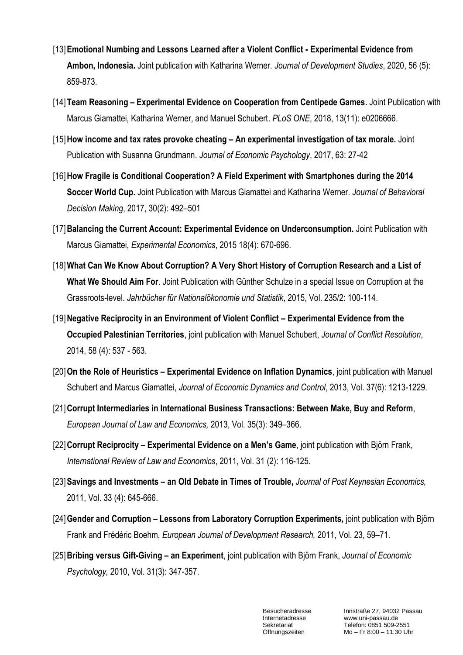- [13]**Emotional Numbing and Lessons Learned after a Violent Conflict - Experimental Evidence from Ambon, Indonesia.** Joint publication with Katharina Werner. *Journal of Development Studies*, 2020, 56 (5): 859-873.
- [14]**Team Reasoning – Experimental Evidence on Cooperation from Centipede Games.** Joint Publication with Marcus Giamattei, Katharina Werner, and Manuel Schubert. *PLoS ONE*, 2018, 13(11): e0206666.
- [15]**How income and tax rates provoke cheating – An experimental investigation of tax morale.** Joint Publication with Susanna Grundmann. *Journal of Economic Psychology*, 2017, 63: 27-42
- [16]**How Fragile is Conditional Cooperation? A Field Experiment with Smartphones during the 2014 Soccer World Cup.** Joint Publication with Marcus Giamattei and Katharina Werner. *Journal of Behavioral Decision Making*, 2017, 30(2): 492–501
- [17]**Balancing the Current Account: Experimental Evidence on Underconsumption.** Joint Publication with Marcus Giamattei, *Experimental Economics*, 2015 18(4): 670-696.
- [18]**What Can We Know About Corruption? A Very Short History of Corruption Research and a List of What We Should Aim For**. Joint Publication with Günther Schulze in a special Issue on Corruption at the Grassroots-level. *Jahrbücher für Nationalökonomie und Statistik*, 2015, Vol. 235/2: 100-114.
- [19]**Negative Reciprocity in an Environment of Violent Conflict – Experimental Evidence from the Occupied Palestinian Territories**, joint publication with Manuel Schubert, *Journal of Conflict Resolution*, 2014, 58 (4): 537 - 563.
- [20]**On the Role of Heuristics – Experimental Evidence on Inflation Dynamics**, joint publication with Manuel Schubert and Marcus Giamattei, *Journal of Economic Dynamics and Control*, 2013, Vol. 37(6): 1213-1229.
- [21]**Corrupt Intermediaries in International Business Transactions: Between Make, Buy and Reform**, *European Journal of Law and Economics,* 2013, Vol. 35(3): 349–366.
- [22]**Corrupt Reciprocity – Experimental Evidence on a Men's Game**, joint publication with Björn Frank, *International Review of Law and Economics*, 2011, Vol. 31 (2): 116-125.
- [23]**Savings and Investments – an Old Debate in Times of Trouble,** *Journal of Post Keynesian Economics,*  2011, Vol. 33 (4): 645-666.
- [24]**Gender and Corruption – Lessons from Laboratory Corruption Experiments,** joint publication with Björn Frank and Frédéric Boehm, *European Journal of Development Research,* 2011, Vol. 23, 59–71.
- [25]**Bribing versus Gift-Giving – an Experiment**, joint publication with Björn Frank, *Journal of Economic Psychology,* 2010, Vol. 31(3): 347-357.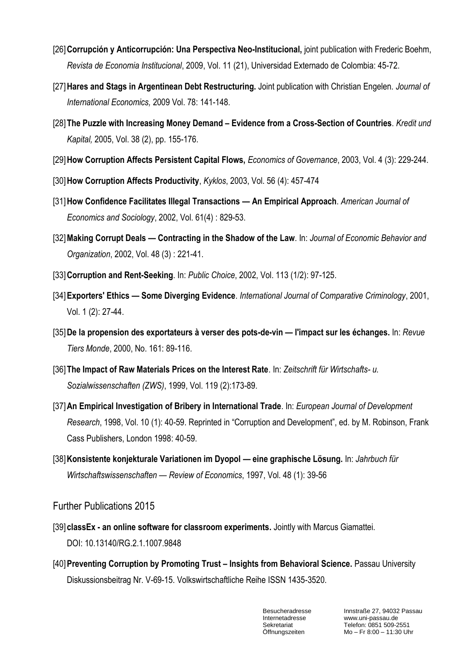- [26]**Corrupción y Anticorrupción: Una Perspectiva Neo-Institucional,** joint publication with Frederic Boehm, *Revista de Economia Institucional*, 2009, Vol. 11 (21), Universidad Externado de Colombia: 45-72.
- [27]**Hares and Stags in Argentinean Debt Restructuring.** Joint publication with Christian Engelen. *Journal of International Economics,* 2009 Vol. 78: 141-148.
- [28]**The Puzzle with Increasing Money Demand – Evidence from a Cross-Section of Countries**. *Kredit und Kapital,* 2005, Vol. 38 (2), pp. 155-176.
- [29]**How Corruption Affects Persistent Capital Flows,** *Economics of Governance*, 2003, Vol. 4 (3): 229-244.
- [30]**How Corruption Affects Productivity**, *Kyklos*, 2003, Vol. 56 (4): 457-474
- [31]**How Confidence Facilitates Illegal Transactions — An Empirical Approach**. *American Journal of Economics and Sociology*, 2002, Vol. 61(4) : 829-53.
- [32]**Making Corrupt Deals — Contracting in the Shadow of the Law**. In: *Journal of Economic Behavior and Organization*, 2002, Vol. 48 (3) : 221-41.
- [33]**Corruption and Rent-Seeking**. In: *Public Choice*, 2002, Vol. 113 (1/2): 97-125.
- [34]**Exporters' Ethics — Some Diverging Evidence**. *International Journal of Comparative Criminology*, 2001, Vol. 1 (2): 27-44.
- [35]**De la propension des exportateurs à verser des pots-de-vin — l'impact sur les échanges.** In: *Revue Tiers Monde*, 2000, No. 161: 89-116.
- [36]**The Impact of Raw Materials Prices on the Interest Rate**. In: *Zeitschrift für Wirtschafts- u. Sozialwissenschaften (ZWS)*, 1999, Vol. 119 (2):173-89.
- [37]**An Empirical Investigation of Bribery in International Trade**. In: *European Journal of Development Research*, 1998, Vol. 10 (1): 40-59. Reprinted in "Corruption and Development", ed. by M. Robinson, Frank Cass Publishers, London 1998: 40-59.
- [38]**Konsistente konjekturale Variationen im Dyopol — eine graphische Lösung.** In: *Jahrbuch für Wirtschaftswissenschaften — Review of Economics*, 1997, Vol. 48 (1): 39-56

Further Publications 2015

- [39] **classEx - an online software for classroom experiments.** Jointly with Marcus Giamattei. DOI: 10.13140/RG.2.1.1007.9848
- [40]**Preventing Corruption by Promoting Trust – Insights from Behavioral Science.** Passau University Diskussionsbeitrag Nr. V-69-15. Volkswirtschaftliche Reihe ISSN 1435-3520.

Besucheradresse Innstraße 27, 94032 Passau<br>
Internetadresse www.uni-passau.de Internetadresse www.uni-passau.de<br>Sekretariat Telefon: 0851 509-2 Sekretariat Telefon: 0851 509-2551<br>Öffnungszeiten Mo – Fr 8:00 – 11:30 UI  $Mo - Fr 8:00 - 11:30$  Uhr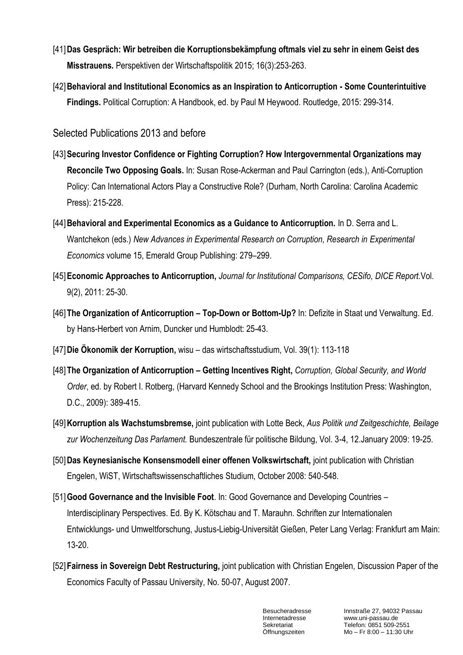- [41]**Das Gespräch: Wir betreiben die Korruptionsbekämpfung oftmals viel zu sehr in einem Geist des Misstrauens.** Perspektiven der Wirtschaftspolitik 2015; 16(3):253-263.
- [42]**Behavioral and Institutional Economics as an Inspiration to Anticorruption - Some Counterintuitive Findings.** Political Corruption: A Handbook, ed. by Paul M Heywood. Routledge, 2015: 299-314.

Selected Publications 2013 and before

- [43]**Securing Investor Confidence or Fighting Corruption? How Intergovernmental Organizations may Reconcile Two Opposing Goals.** In: Susan Rose-Ackerman and Paul Carrington (eds.), Anti-Corruption Policy: Can International Actors Play a Constructive Role? (Durham, North Carolina: Carolina Academic Press): 215-228.
- [44]**Behavioral and Experimental Economics as a Guidance to Anticorruption.** In D. Serra and L. Wantchekon (eds.) *New Advances in Experimental Research on Corruption, Research in Experimental Economics* volume 15, Emerald Group Publishing: 279–299.
- [45]**Economic Approaches to Anticorruption,** *Journal for Institutional Comparisons, CESifo, DICE Report.*Vol. 9(2), 2011: 25-30.
- [46]**The Organization of Anticorruption – Top-Down or Bottom-Up?** In: Defizite in Staat und Verwaltung. Ed. by Hans-Herbert von Arnim, Duncker und Humblodt: 25-43.
- [47]**Die Ökonomik der Korruption,** wisu das wirtschaftsstudium, Vol. 39(1): 113-118
- [48]**The Organization of Anticorruption – Getting Incentives Right,** *Corruption, Global Security, and World Order*, ed. by Robert I. Rotberg, (Harvard Kennedy School and the Brookings Institution Press: Washington, D.C., 2009): 389-415.
- [49]**Korruption als Wachstumsbremse,** joint publication with Lotte Beck, *Aus Politik und Zeitgeschichte, Beilage zur Wochenzeitung Das Parlament.* Bundeszentrale für politische Bildung, Vol. 3-4, 12.January 2009: 19-25.
- [50]**Das Keynesianische Konsensmodell einer offenen Volkswirtschaft,** joint publication with Christian Engelen, WiST, Wirtschaftswissenschaftliches Studium, October 2008: 540-548.
- [51]**Good Governance and the Invisible Foot**. In: Good Governance and Developing Countries Interdisciplinary Perspectives. Ed. By K. Kötschau and T. Marauhn. Schriften zur Internationalen Entwicklungs- und Umweltforschung, Justus-Liebig-Universität Gießen, Peter Lang Verlag: Frankfurt am Main: 13-20.
- [52]**Fairness in Sovereign Debt Restructuring,** joint publication with Christian Engelen, Discussion Paper of the Economics Faculty of Passau University, No. 50-07, August 2007.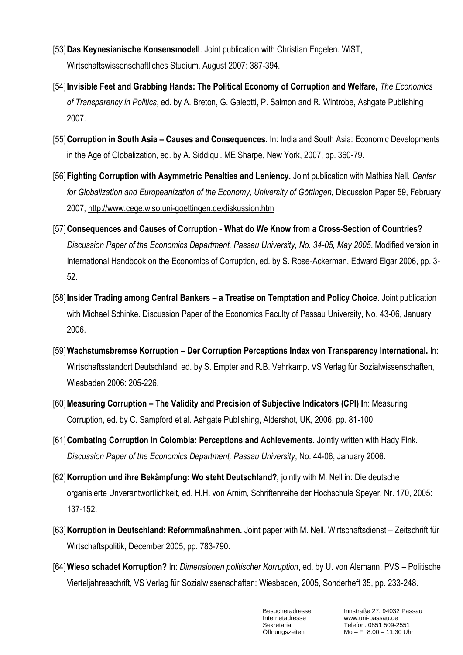- [53]**Das Keynesianische Konsensmodell**. Joint publication with Christian Engelen. WiST, Wirtschaftswissenschaftliches Studium, August 2007: 387-394.
- [54] **Invisible Feet and Grabbing Hands: The Political Economy of Corruption and Welfare,** *The Economics of Transparency in Politics*, ed. by [A. Breton,](http://www.amazon.com/exec/obidos/search-handle-url/index=books&field-author=Breton%2C%20Albert/104-5913169-5168756) [G. Galeotti,](http://www.amazon.com/exec/obidos/search-handle-url/index=books&field-author=Galeotti%2C%20Gianluigi/104-5913169-5168756) [P. Salmon](http://www.amazon.com/exec/obidos/search-handle-url/index=books&field-author=Salmon%2C%20Pierre/104-5913169-5168756) and R. [Wintrobe,](http://www.amazon.com/exec/obidos/search-handle-url/index=books&field-author=Wintrobe%2C%20Ronald/104-5913169-5168756) Ashgate Publishing 2007.
- [55]**Corruption in South Asia – Causes and Consequences.** In: India and South Asia: Economic Developments in the Age of Globalization, ed. by A. Siddiqui. ME Sharpe, New York, 2007, pp. 360-79.
- [56]**Fighting Corruption with Asymmetric Penalties and Leniency.** Joint publication with Mathias Nell. *Center*  for Globalization and Europeanization of the Economy, University of Göttingen, Discussion Paper 59, February 2007,<http://www.cege.wiso.uni-goettingen.de/diskussion.htm>
- [57]**Consequences and Causes of Corruption - What do We Know from a Cross-Section of Countries?**  *Discussion Paper of the Economics Department, Passau University, No. 34-05, May 2005*. Modified version in International Handbook on the Economics of Corruption, ed. by S. Rose-Ackerman, Edward Elgar 2006, pp. 3- 52.
- [58] **Insider Trading among Central Bankers – a Treatise on Temptation and Policy Choice**. Joint publication with Michael Schinke. Discussion Paper of the Economics Faculty of Passau University, No. 43-06, January 2006.
- [59]**Wachstumsbremse Korruption – Der Corruption Perceptions Index von Transparency International.** In: Wirtschaftsstandort Deutschland, ed. by S. Empter and R.B. Vehrkamp. VS Verlag für Sozialwissenschaften, Wiesbaden 2006: 205-226.
- [60]**Measuring Corruption – The Validity and Precision of Subjective Indicators (CPI) I**n: Measuring Corruption, ed. by C. Sampford et al. Ashgate Publishing, Aldershot, UK, 2006, pp. 81-100.
- [61]**Combating Corruption in Colombia: Perceptions and Achievements.** Jointly written with Hady Fink. *Discussion Paper of the Economics Department, Passau University*, No. 44-06, January 2006.
- [62]**Korruption und ihre Bekämpfung: Wo steht Deutschland?,** jointly with M. Nell in: Die deutsche organisierte Unverantwortlichkeit, ed. H.H. von Arnim, Schriftenreihe der Hochschule Speyer, Nr. 170, 2005: 137-152.
- [63]**Korruption in Deutschland: Reformmaßnahmen.** Joint paper with M. Nell. Wirtschaftsdienst Zeitschrift für Wirtschaftspolitik, December 2005, pp. 783-790.
- [64]**Wieso schadet Korruption?** In: *Dimensionen politischer Korruption*, ed. by U. von Alemann, PVS Politische Vierteljahresschrift, VS Verlag für Sozialwissenschaften: Wiesbaden, 2005, Sonderheft 35, pp. 233-248.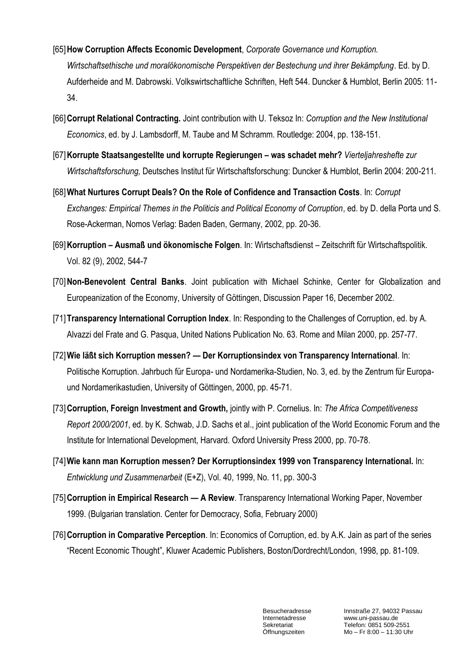- [65]**How Corruption Affects Economic Development**, *Corporate Governance und Korruption. Wirtschaftsethische und moralökonomische Perspektiven der Bestechung und ihrer Bekämpfung*. Ed. by D. Aufderheide and M. Dabrowski. Volkswirtschaftliche Schriften, Heft 544. Duncker & Humblot, Berlin 2005: 11- 34.
- [66]**Corrupt Relational Contracting.** Joint contribution with U. Teksoz In: *Corruption and the New Institutional Economics*, ed. by J. Lambsdorff, M. Taube and M Schramm. Routledge: 2004, pp. 138-151.
- [67]**Korrupte Staatsangestellte und korrupte Regierungen – was schadet mehr?** *Vierteljahreshefte zur Wirtschaftsforschung,* Deutsches Institut für Wirtschaftsforschung: Duncker & Humblot, Berlin 2004: 200-211.
- [68]**What Nurtures Corrupt Deals? On the Role of Confidence and Transaction Costs**. In: *Corrupt Exchanges: Empirical Themes in the Politicis and Political Economy of Corruption*, ed. by D. della Porta und S. Rose-Ackerman, Nomos Verlag: Baden Baden, Germany, 2002, pp. 20-36.
- [69]**Korruption – Ausmaß und ökonomische Folgen**. In: Wirtschaftsdienst Zeitschrift für Wirtschaftspolitik. Vol. 82 (9), 2002, 544-7
- [70]**Non-Benevolent Central Banks**. Joint publication with Michael Schinke, Center for Globalization and Europeanization of the Economy, University of Göttingen, Discussion Paper 16, December 2002.
- [71]**Transparency International Corruption Index**. In: Responding to the Challenges of Corruption, ed. by A. Alvazzi del Frate and G. Pasqua, United Nations Publication No. 63. Rome and Milan 2000, pp. 257-77.
- [72]**Wie läßt sich Korruption messen? — Der Korruptionsindex von Transparency International**. In: Politische Korruption. Jahrbuch für Europa- und Nordamerika-Studien, No. 3, ed. by the Zentrum für Europaund Nordamerikastudien, University of Göttingen, 2000, pp. 45-71.
- [73]**Corruption, Foreign Investment and Growth,** jointly with P. Cornelius. In: *The Africa Competitiveness Report 2000/2001*, ed. by K. Schwab, J.D. Sachs et al., joint publication of the World Economic Forum and the Institute for International Development, Harvard. Oxford University Press 2000, pp. 70-78.
- [74]**Wie kann man Korruption messen? Der Korruptionsindex 1999 von Transparency International.** In: *Entwicklung und Zusammenarbeit* (E+Z), Vol. 40, 1999, No. 11, pp. 300-3
- [75]**Corruption in Empirical Research — A Review**. Transparency International Working Paper, November 1999. (Bulgarian translation. Center for Democracy, Sofia, February 2000)
- [76]**Corruption in Comparative Perception**. In: Economics of Corruption, ed. by A.K. Jain as part of the series "Recent Economic Thought", Kluwer Academic Publishers, Boston/Dordrecht/London, 1998, pp. 81-109.